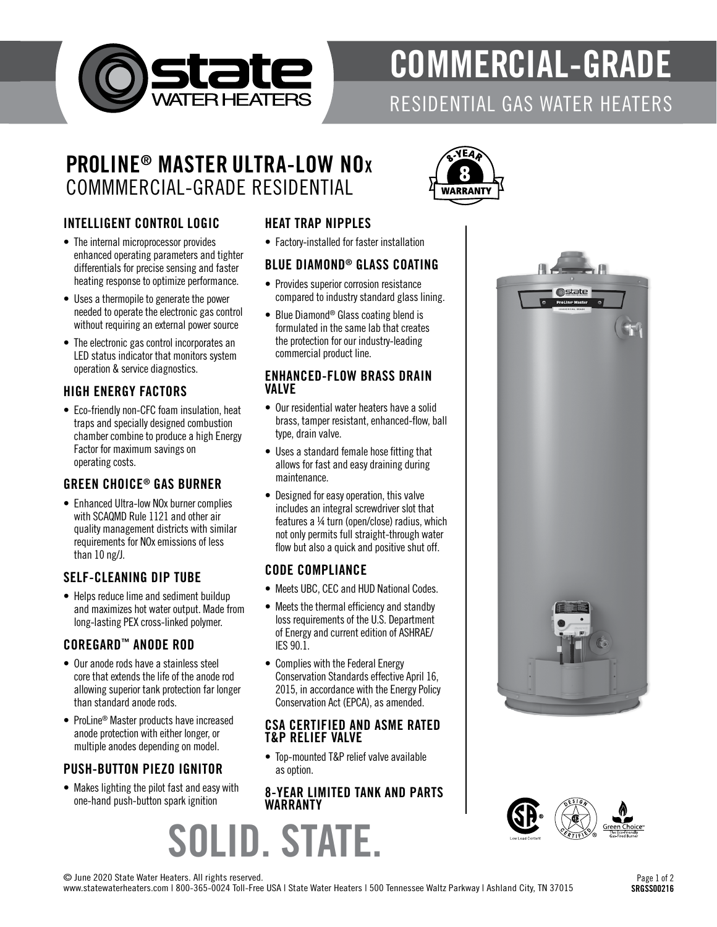

# COMMERCIAL-GRADE

## RESIDENTIAL GAS WATER HEATERS

### PROLINE® MASTER ULTRA-LOW NO<sup>x</sup> COMMMERCIAL-GRADE RESIDENTIAL



#### INTELLIGENT CONTROL LOGIC

- The internal microprocessor provides enhanced operating parameters and tighter differentials for precise sensing and faster heating response to optimize performance.
- Uses a thermopile to generate the power needed to operate the electronic gas control without requiring an external power source
- The electronic gas control incorporates an LED status indicator that monitors system operation & service diagnostics.

#### HIGH ENERGY FACTORS

• Eco-friendly non-CFC foam insulation, heat traps and specially designed combustion chamber combine to produce a high Energy Factor for maximum savings on operating costs.

#### GREEN CHOICE® GAS BURNER

• Enhanced Ultra-low NOx burner complies with SCAQMD Rule 1121 and other air quality management districts with similar requirements for NOx emissions of less than 10 ng/J.

#### SELF-CLEANING DIP TUBE

• Helps reduce lime and sediment buildup and maximizes hot water output. Made from long-lasting PEX cross-linked polymer.

#### COREGARD™ ANODE ROD

- Our anode rods have a stainless steel core that extends the life of the anode rod allowing superior tank protection far longer than standard anode rods.
- ProLine® Master products have increased anode protection with either longer, or multiple anodes depending on model.

#### PUSH-BUTTON PIEZO IGNITOR

• Makes lighting the pilot fast and easy with one-hand push-button spark ignition

#### HEAT TRAP NIPPLES

• Factory-installed for faster installation

#### BLUE DIAMOND® GLASS COATING

- Provides superior corrosion resistance compared to industry standard glass lining.
- Blue Diamond® Glass coating blend is formulated in the same lab that creates the protection for our industry-leading commercial product line.

#### ENHANCED-FLOW BRASS DRAIN VALVE

- Our residential water heaters have a solid brass, tamper resistant, enhanced-flow, ball type, drain valve.
- Uses a standard female hose fitting that allows for fast and easy draining during maintenance.
- Designed for easy operation, this valve includes an integral screwdriver slot that features a ¼ turn (open/close) radius, which not only permits full straight-through water flow but also a quick and positive shut off.

#### CODE COMPLIANCE

- Meets UBC, CEC and HUD National Codes.
- Meets the thermal efficiency and standby loss requirements of the U.S. Department of Energy and current edition of ASHRAE/ IES 90.1.
- Complies with the Federal Energy Conservation Standards effective April 16, 2015, in accordance with the Energy Policy Conservation Act (EPCA), as amended.

#### CSA CERTIFIED AND ASME RATED T&P RELIEF VALVE

• Top-mounted T&P relief valve available as option.

#### 8-YEAR LIMITED TANK AND PARTS WARRANTY







© June 2020 State Water Heaters. All rights reserved.

www.statewaterheaters.com | 800-365-0024 Toll-Free USA | State Water Heaters | 500 Tennessee Waltz Parkway | Ashland City, TN 37015